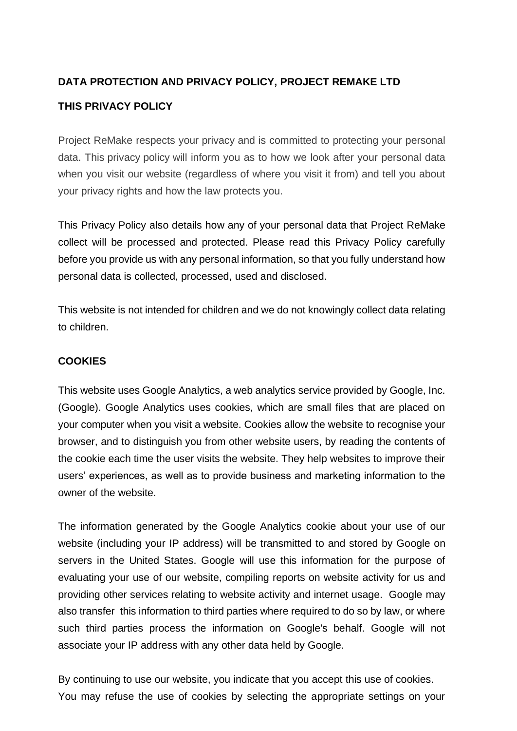# **DATA PROTECTION AND PRIVACY POLICY, PROJECT REMAKE LTD**

## **THIS PRIVACY POLICY**

Project ReMake respects your privacy and is committed to protecting your personal data. This privacy policy will inform you as to how we look after your personal data when you visit our website (regardless of where you visit it from) and tell you about your privacy rights and how the law protects you.

This Privacy Policy also details how any of your personal data that Project ReMake collect will be processed and protected. Please read this Privacy Policy carefully before you provide us with any personal information, so that you fully understand how personal data is collected, processed, used and disclosed.

This website is not intended for children and we do not knowingly collect data relating to children.

### **COOKIES**

This website uses Google Analytics, a web analytics service provided by Google, Inc. (Google). Google Analytics uses cookies, which are small files that are placed on your computer when you visit a website. Cookies allow the website to recognise your browser, and to distinguish you from other website users, by reading the contents of the cookie each time the user visits the website. They help websites to improve their users' experiences, as well as to provide business and marketing information to the owner of the website.

The information generated by the Google Analytics cookie about your use of our website (including your IP address) will be transmitted to and stored by Google on servers in the United States. Google will use this information for the purpose of evaluating your use of our website, compiling reports on website activity for us and providing other services relating to website activity and internet usage. Google may also transfer this information to third parties where required to do so by law, or where such third parties process the information on Google's behalf. Google will not associate your IP address with any other data held by Google.

By continuing to use our website, you indicate that you accept this use of cookies. You may refuse the use of cookies by selecting the appropriate settings on your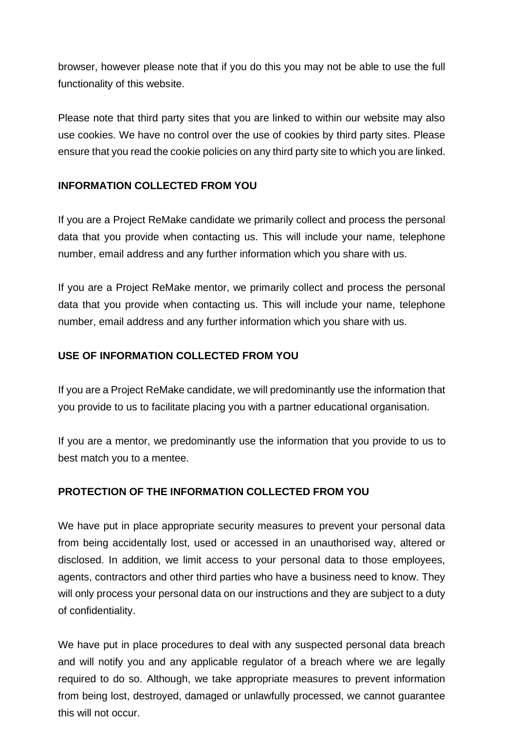browser, however please note that if you do this you may not be able to use the full functionality of this website.

Please note that third party sites that you are linked to within our website may also use cookies. We have no control over the use of cookies by third party sites. Please ensure that you read the cookie policies on any third party site to which you are linked.

## **INFORMATION COLLECTED FROM YOU**

If you are a Project ReMake candidate we primarily collect and process the personal data that you provide when contacting us. This will include your name, telephone number, email address and any further information which you share with us.

If you are a Project ReMake mentor, we primarily collect and process the personal data that you provide when contacting us. This will include your name, telephone number, email address and any further information which you share with us.

## **USE OF INFORMATION COLLECTED FROM YOU**

If you are a Project ReMake candidate, we will predominantly use the information that you provide to us to facilitate placing you with a partner educational organisation.

If you are a mentor, we predominantly use the information that you provide to us to best match you to a mentee.

# **PROTECTION OF THE INFORMATION COLLECTED FROM YOU**

We have put in place appropriate security measures to prevent your personal data from being accidentally lost, used or accessed in an unauthorised way, altered or disclosed. In addition, we limit access to your personal data to those employees, agents, contractors and other third parties who have a business need to know. They will only process your personal data on our instructions and they are subject to a duty of confidentiality.

We have put in place procedures to deal with any suspected personal data breach and will notify you and any applicable regulator of a breach where we are legally required to do so. Although, we take appropriate measures to prevent information from being lost, destroyed, damaged or unlawfully processed, we cannot guarantee this will not occur.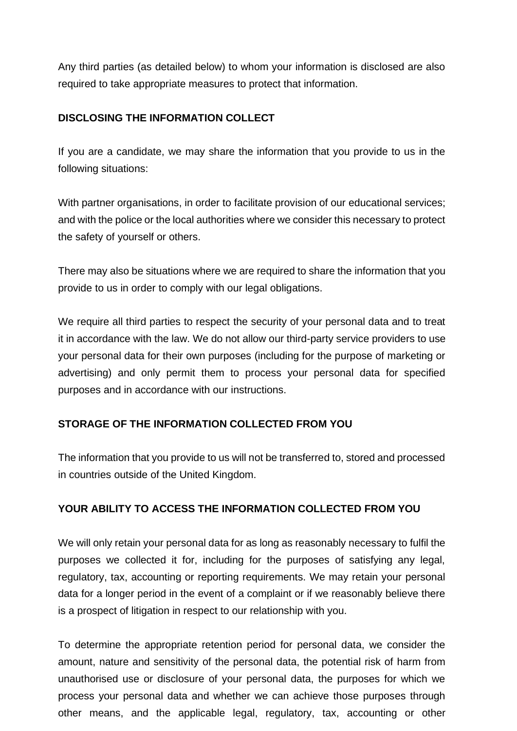Any third parties (as detailed below) to whom your information is disclosed are also required to take appropriate measures to protect that information.

## **DISCLOSING THE INFORMATION COLLECT**

If you are a candidate, we may share the information that you provide to us in the following situations:

With partner organisations, in order to facilitate provision of our educational services; and with the police or the local authorities where we consider this necessary to protect the safety of yourself or others.

There may also be situations where we are required to share the information that you provide to us in order to comply with our legal obligations.

We require all third parties to respect the security of your personal data and to treat it in accordance with the law. We do not allow our third-party service providers to use your personal data for their own purposes (including for the purpose of marketing or advertising) and only permit them to process your personal data for specified purposes and in accordance with our instructions.

# **STORAGE OF THE INFORMATION COLLECTED FROM YOU**

The information that you provide to us will not be transferred to, stored and processed in countries outside of the United Kingdom.

### **YOUR ABILITY TO ACCESS THE INFORMATION COLLECTED FROM YOU**

We will only retain your personal data for as long as reasonably necessary to fulfil the purposes we collected it for, including for the purposes of satisfying any legal, regulatory, tax, accounting or reporting requirements. We may retain your personal data for a longer period in the event of a complaint or if we reasonably believe there is a prospect of litigation in respect to our relationship with you.

To determine the appropriate retention period for personal data, we consider the amount, nature and sensitivity of the personal data, the potential risk of harm from unauthorised use or disclosure of your personal data, the purposes for which we process your personal data and whether we can achieve those purposes through other means, and the applicable legal, regulatory, tax, accounting or other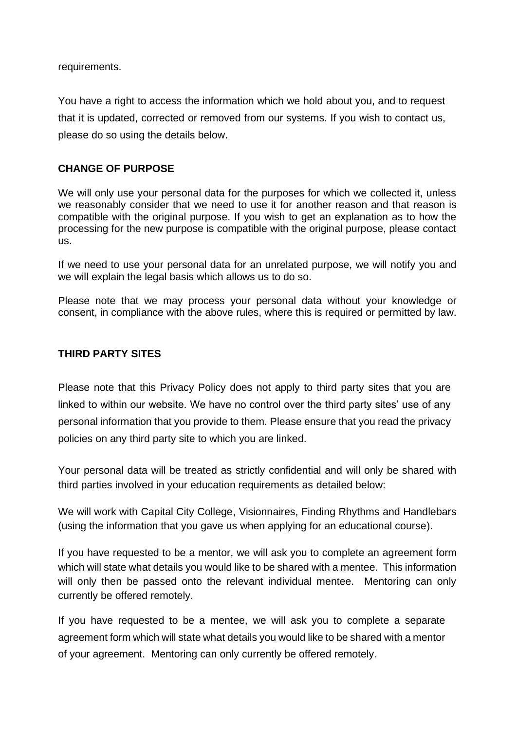requirements.

You have a right to access the information which we hold about you, and to request that it is updated, corrected or removed from our systems. If you wish to contact us, please do so using the details below.

### **CHANGE OF PURPOSE**

We will only use your personal data for the purposes for which we collected it, unless we reasonably consider that we need to use it for another reason and that reason is compatible with the original purpose. If you wish to get an explanation as to how the processing for the new purpose is compatible with the original purpose, please contact us.

If we need to use your personal data for an unrelated purpose, we will notify you and we will explain the legal basis which allows us to do so.

Please note that we may process your personal data without your knowledge or consent, in compliance with the above rules, where this is required or permitted by law.

#### **THIRD PARTY SITES**

Please note that this Privacy Policy does not apply to third party sites that you are linked to within our website. We have no control over the third party sites' use of any personal information that you provide to them. Please ensure that you read the privacy policies on any third party site to which you are linked.

Your personal data will be treated as strictly confidential and will only be shared with third parties involved in your education requirements as detailed below:

We will work with Capital City College, Visionnaires, Finding Rhythms and Handlebars (using the information that you gave us when applying for an educational course).

If you have requested to be a mentor, we will ask you to complete an agreement form which will state what details you would like to be shared with a mentee. This information will only then be passed onto the relevant individual mentee. Mentoring can only currently be offered remotely.

If you have requested to be a mentee, we will ask you to complete a separate agreement form which will state what details you would like to be shared with a mentor of your agreement. Mentoring can only currently be offered remotely.